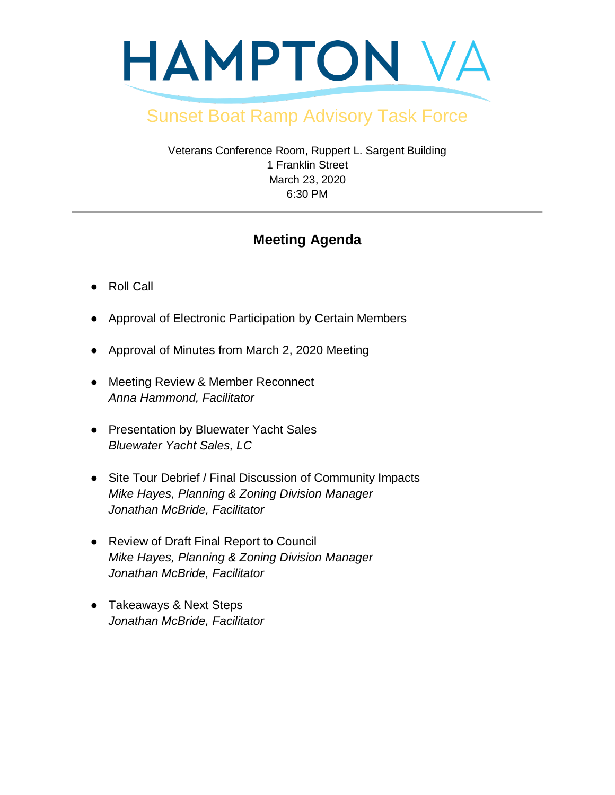

## Sunset Boat Ramp Advisory Task Force

Veterans Conference Room, Ruppert L. Sargent Building 1 Franklin Street March 23, 2020 6:30 PM

## **Meeting Agenda**

- Roll Call
- Approval of Electronic Participation by Certain Members
- Approval of Minutes from March 2, 2020 Meeting
- Meeting Review & Member Reconnect *Anna Hammond, Facilitator*
- Presentation by Bluewater Yacht Sales *Bluewater Yacht Sales, LC*
- Site Tour Debrief / Final Discussion of Community Impacts *Mike Hayes, Planning & Zoning Division Manager Jonathan McBride, Facilitator*
- Review of Draft Final Report to Council *Mike Hayes, Planning & Zoning Division Manager Jonathan McBride, Facilitator*
- Takeaways & Next Steps *Jonathan McBride, Facilitator*